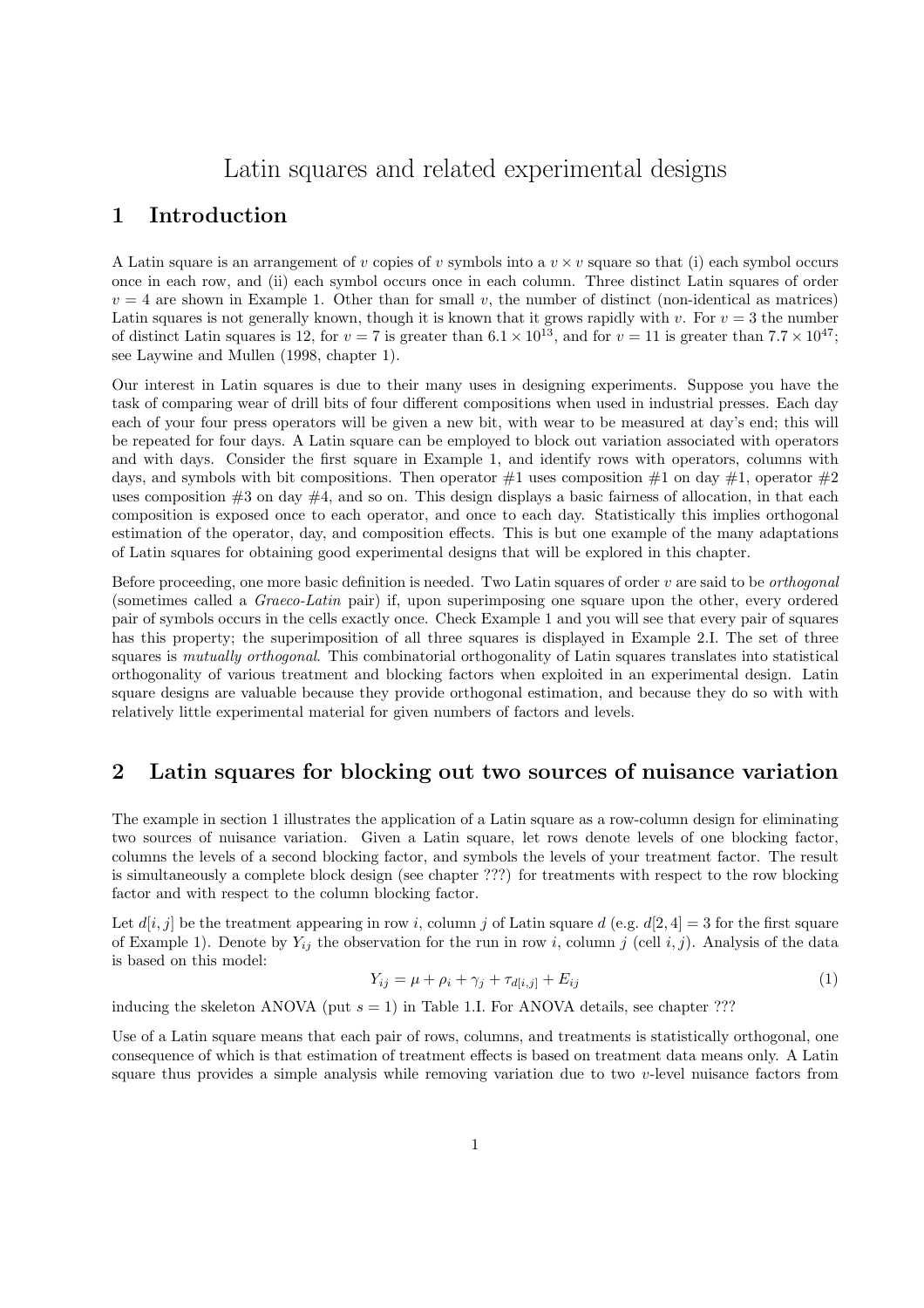# Latin squares and related experimental designs

## 1 Introduction

A Latin square is an arrangement of v copies of v symbols into a  $v \times v$  square so that (i) each symbol occurs once in each row, and (ii) each symbol occurs once in each column. Three distinct Latin squares of order  $v = 4$  are shown in Example 1. Other than for small v, the number of distinct (non-identical as matrices) Latin squares is not generally known, though it is known that it grows rapidly with v. For  $v = 3$  the number of distinct Latin squares is 12, for  $v = 7$  is greater than  $6.1 \times 10^{13}$ , and for  $v = 11$  is greater than  $7.7 \times 10^{47}$ ; see Laywine and Mullen (1998, chapter 1).

Our interest in Latin squares is due to their many uses in designing experiments. Suppose you have the task of comparing wear of drill bits of four different compositions when used in industrial presses. Each day each of your four press operators will be given a new bit, with wear to be measured at day's end; this will be repeated for four days. A Latin square can be employed to block out variation associated with operators and with days. Consider the first square in Example 1, and identify rows with operators, columns with days, and symbols with bit compositions. Then operator  $\#1$  uses composition  $\#1$  on day  $\#1$ , operator  $\#2$ uses composition  $\#3$  on day  $\#4$ , and so on. This design displays a basic fairness of allocation, in that each composition is exposed once to each operator, and once to each day. Statistically this implies orthogonal estimation of the operator, day, and composition effects. This is but one example of the many adaptations of Latin squares for obtaining good experimental designs that will be explored in this chapter.

Before proceeding, one more basic definition is needed. Two Latin squares of order  $v$  are said to be *orthogonal* (sometimes called a Graeco-Latin pair) if, upon superimposing one square upon the other, every ordered pair of symbols occurs in the cells exactly once. Check Example 1 and you will see that every pair of squares has this property; the superimposition of all three squares is displayed in Example 2.I. The set of three squares is mutually orthogonal. This combinatorial orthogonality of Latin squares translates into statistical orthogonality of various treatment and blocking factors when exploited in an experimental design. Latin square designs are valuable because they provide orthogonal estimation, and because they do so with with relatively little experimental material for given numbers of factors and levels.

## 2 Latin squares for blocking out two sources of nuisance variation

The example in section 1 illustrates the application of a Latin square as a row-column design for eliminating two sources of nuisance variation. Given a Latin square, let rows denote levels of one blocking factor, columns the levels of a second blocking factor, and symbols the levels of your treatment factor. The result is simultaneously a complete block design (see chapter ???) for treatments with respect to the row blocking factor and with respect to the column blocking factor.

Let  $d[i, j]$  be the treatment appearing in row i, column j of Latin square  $d$  (e.g.  $d[2, 4] = 3$  for the first square of Example 1). Denote by  $Y_{ij}$  the observation for the run in row i, column j (cell i, j). Analysis of the data is based on this model:

$$
Y_{ij} = \mu + \rho_i + \gamma_j + \tau_{d[i,j]} + E_{ij}
$$
\n(1)

inducing the skeleton ANOVA (put  $s = 1$ ) in Table 1.I. For ANOVA details, see chapter ???

Use of a Latin square means that each pair of rows, columns, and treatments is statistically orthogonal, one consequence of which is that estimation of treatment effects is based on treatment data means only. A Latin square thus provides a simple analysis while removing variation due to two v-level nuisance factors from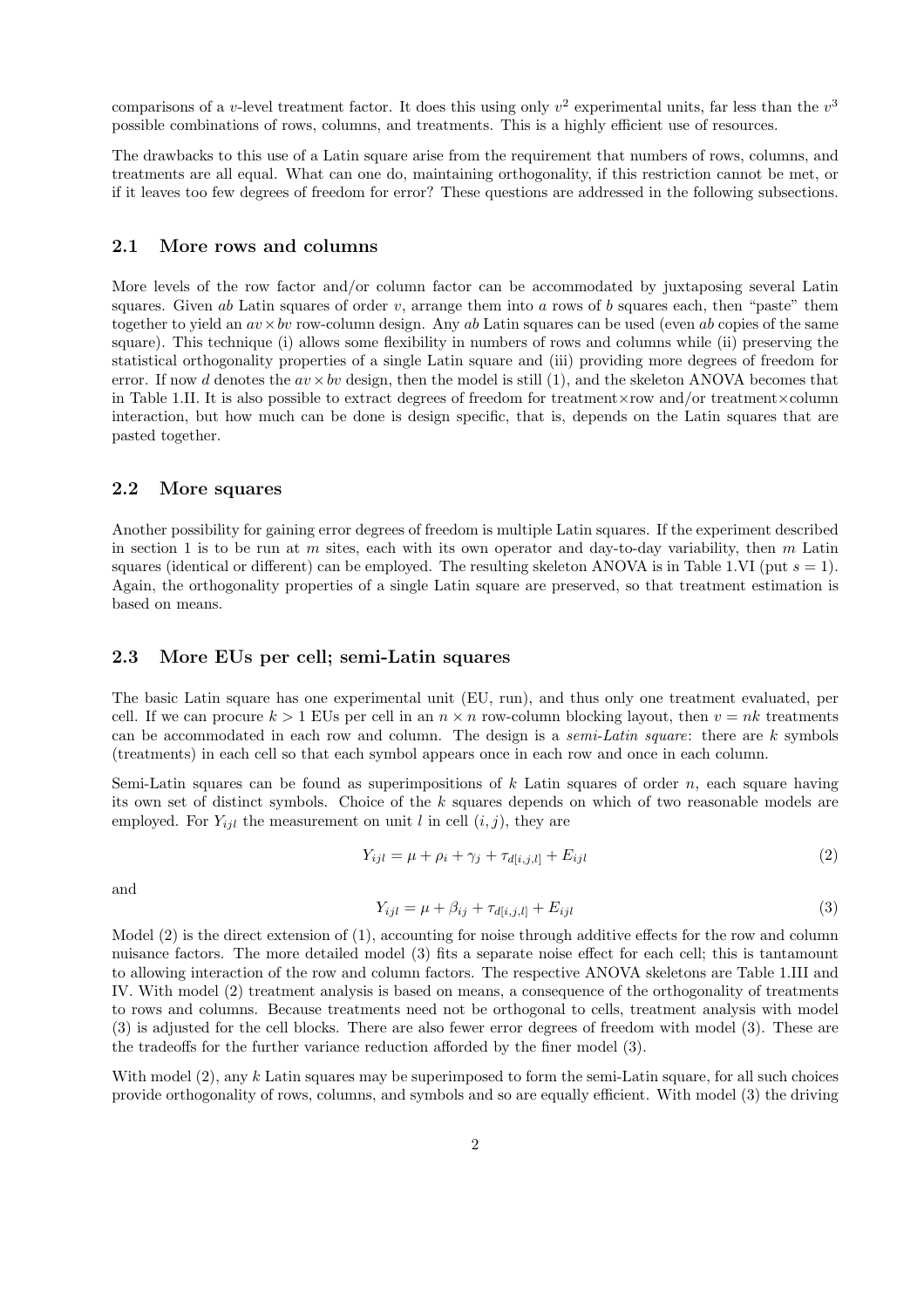comparisons of a v-level treatment factor. It does this using only  $v^2$  experimental units, far less than the  $v^3$ possible combinations of rows, columns, and treatments. This is a highly efficient use of resources.

The drawbacks to this use of a Latin square arise from the requirement that numbers of rows, columns, and treatments are all equal. What can one do, maintaining orthogonality, if this restriction cannot be met, or if it leaves too few degrees of freedom for error? These questions are addressed in the following subsections.

#### 2.1 More rows and columns

More levels of the row factor and/or column factor can be accommodated by juxtaposing several Latin squares. Given ab Latin squares of order v, arrange them into a rows of b squares each, then "paste" them together to yield an  $av \times bv$  row-column design. Any ab Latin squares can be used (even ab copies of the same square). This technique (i) allows some flexibility in numbers of rows and columns while (ii) preserving the statistical orthogonality properties of a single Latin square and (iii) providing more degrees of freedom for error. If now d denotes the  $av \times bv$  design, then the model is still (1), and the skeleton ANOVA becomes that in Table 1.II. It is also possible to extract degrees of freedom for treatment×row and/or treatment×column interaction, but how much can be done is design specific, that is, depends on the Latin squares that are pasted together.

#### 2.2 More squares

Another possibility for gaining error degrees of freedom is multiple Latin squares. If the experiment described in section 1 is to be run at m sites, each with its own operator and day-to-day variability, then  $m$  Latin squares (identical or different) can be employed. The resulting skeleton ANOVA is in Table 1.VI (put  $s = 1$ ). Again, the orthogonality properties of a single Latin square are preserved, so that treatment estimation is based on means.

#### 2.3 More EUs per cell; semi-Latin squares

The basic Latin square has one experimental unit (EU, run), and thus only one treatment evaluated, per cell. If we can procure  $k > 1$  EUs per cell in an  $n \times n$  row-column blocking layout, then  $v = nk$  treatments can be accommodated in each row and column. The design is a semi-Latin square: there are k symbols (treatments) in each cell so that each symbol appears once in each row and once in each column.

Semi-Latin squares can be found as superimpositions of  $k$  Latin squares of order  $n$ , each square having its own set of distinct symbols. Choice of the k squares depends on which of two reasonable models are employed. For  $Y_{ijl}$  the measurement on unit l in cell  $(i, j)$ , they are

$$
Y_{ijl} = \mu + \rho_i + \gamma_j + \tau_{d[i,j,l]} + E_{ijl}
$$
\n(2)

and

$$
Y_{ijl} = \mu + \beta_{ij} + \tau_{d[i,j,l]} + E_{ijl} \tag{3}
$$

Model (2) is the direct extension of (1), accounting for noise through additive effects for the row and column nuisance factors. The more detailed model (3) fits a separate noise effect for each cell; this is tantamount to allowing interaction of the row and column factors. The respective ANOVA skeletons are Table 1.III and IV. With model (2) treatment analysis is based on means, a consequence of the orthogonality of treatments to rows and columns. Because treatments need not be orthogonal to cells, treatment analysis with model (3) is adjusted for the cell blocks. There are also fewer error degrees of freedom with model (3). These are the tradeoffs for the further variance reduction afforded by the finer model (3).

With model (2), any k Latin squares may be superimposed to form the semi-Latin square, for all such choices provide orthogonality of rows, columns, and symbols and so are equally efficient. With model (3) the driving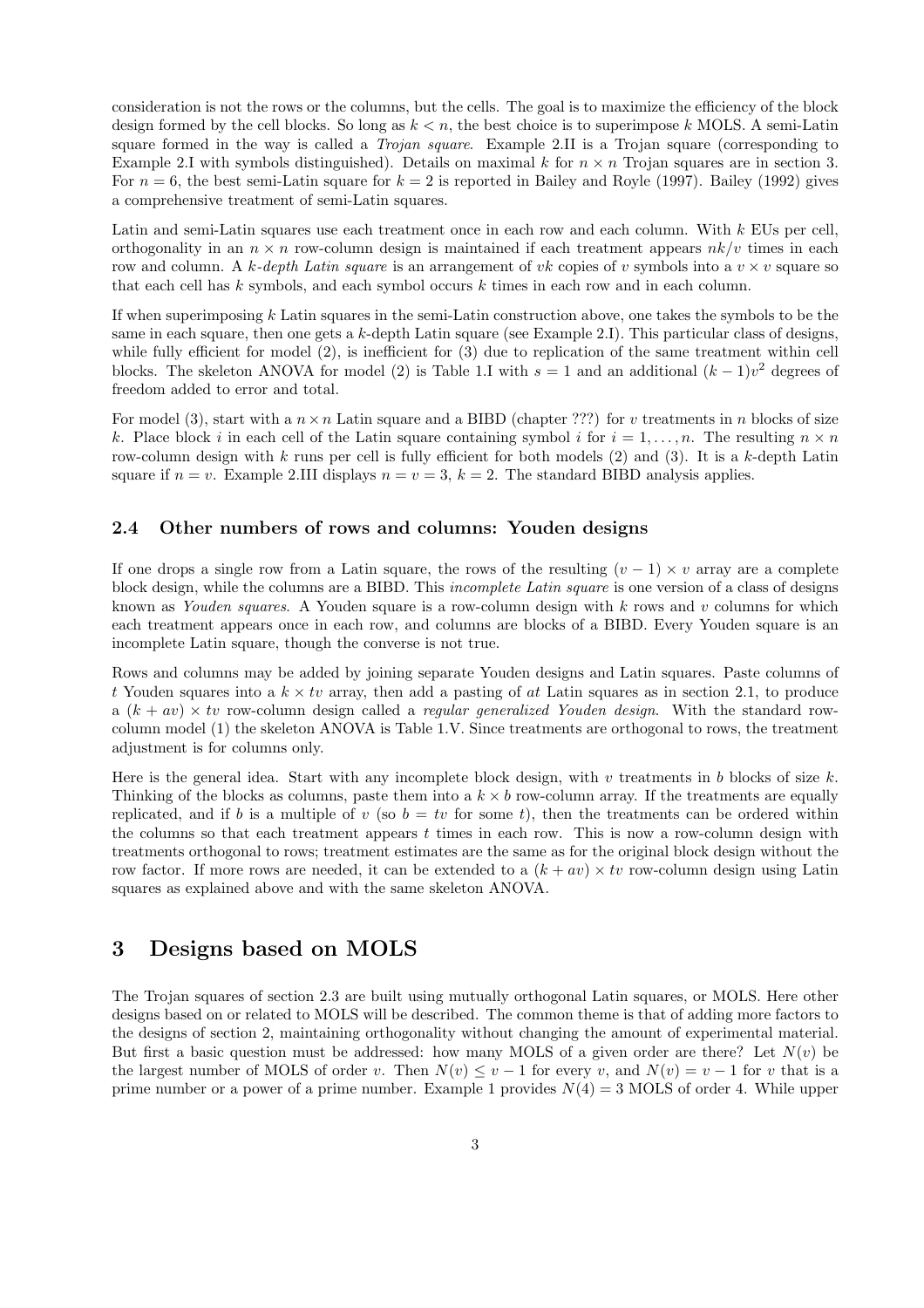consideration is not the rows or the columns, but the cells. The goal is to maximize the efficiency of the block design formed by the cell blocks. So long as  $k < n$ , the best choice is to superimpose k MOLS. A semi-Latin square formed in the way is called a *Trojan square*. Example 2.II is a Trojan square (corresponding to Example 2.I with symbols distinguished). Details on maximal k for  $n \times n$  Trojan squares are in section 3. For  $n = 6$ , the best semi-Latin square for  $k = 2$  is reported in Bailey and Royle (1997). Bailey (1992) gives a comprehensive treatment of semi-Latin squares.

Latin and semi-Latin squares use each treatment once in each row and each column. With k EUs per cell, orthogonality in an  $n \times n$  row-column design is maintained if each treatment appears  $nk/v$  times in each row and column. A k-depth Latin square is an arrangement of vk copies of v symbols into a  $v \times v$  square so that each cell has k symbols, and each symbol occurs k times in each row and in each column.

If when superimposing k Latin squares in the semi-Latin construction above, one takes the symbols to be the same in each square, then one gets a  $k$ -depth Latin square (see Example 2.1). This particular class of designs, while fully efficient for model (2), is inefficient for (3) due to replication of the same treatment within cell blocks. The skeleton ANOVA for model (2) is Table 1.I with  $s = 1$  and an additional  $(k-1)v^2$  degrees of freedom added to error and total.

For model (3), start with a  $n \times n$  Latin square and a BIBD (chapter ???) for v treatments in n blocks of size k. Place block i in each cell of the Latin square containing symbol i for  $i = 1, \ldots, n$ . The resulting  $n \times n$ row-column design with  $k$  runs per cell is fully efficient for both models  $(2)$  and  $(3)$ . It is a  $k$ -depth Latin square if  $n = v$ . Example 2.III displays  $n = v = 3$ ,  $k = 2$ . The standard BIBD analysis applies.

#### 2.4 Other numbers of rows and columns: Youden designs

If one drops a single row from a Latin square, the rows of the resulting  $(v - 1) \times v$  array are a complete block design, while the columns are a BIBD. This incomplete Latin square is one version of a class of designs known as Youden squares. A Youden square is a row-column design with  $k$  rows and  $v$  columns for which each treatment appears once in each row, and columns are blocks of a BIBD. Every Youden square is an incomplete Latin square, though the converse is not true.

Rows and columns may be added by joining separate Youden designs and Latin squares. Paste columns of t Youden squares into a  $k \times tv$  array, then add a pasting of at Latin squares as in section 2.1, to produce a  $(k + av) \times tv$  row-column design called a *regular generalized Youden design*. With the standard rowcolumn model (1) the skeleton ANOVA is Table 1.V. Since treatments are orthogonal to rows, the treatment adjustment is for columns only.

Here is the general idea. Start with any incomplete block design, with  $v$  treatments in  $b$  blocks of size  $k$ . Thinking of the blocks as columns, paste them into a  $k \times b$  row-column array. If the treatments are equally replicated, and if b is a multiple of v (so  $b = tv$  for some t), then the treatments can be ordered within the columns so that each treatment appears  $t$  times in each row. This is now a row-column design with treatments orthogonal to rows; treatment estimates are the same as for the original block design without the row factor. If more rows are needed, it can be extended to a  $(k + av) \times tv$  row-column design using Latin squares as explained above and with the same skeleton ANOVA.

## 3 Designs based on MOLS

The Trojan squares of section 2.3 are built using mutually orthogonal Latin squares, or MOLS. Here other designs based on or related to MOLS will be described. The common theme is that of adding more factors to the designs of section 2, maintaining orthogonality without changing the amount of experimental material. But first a basic question must be addressed: how many MOLS of a given order are there? Let  $N(v)$  be the largest number of MOLS of order v. Then  $N(v) \le v - 1$  for every v, and  $N(v) = v - 1$  for v that is a prime number or a power of a prime number. Example 1 provides  $N(4) = 3$  MOLS of order 4. While upper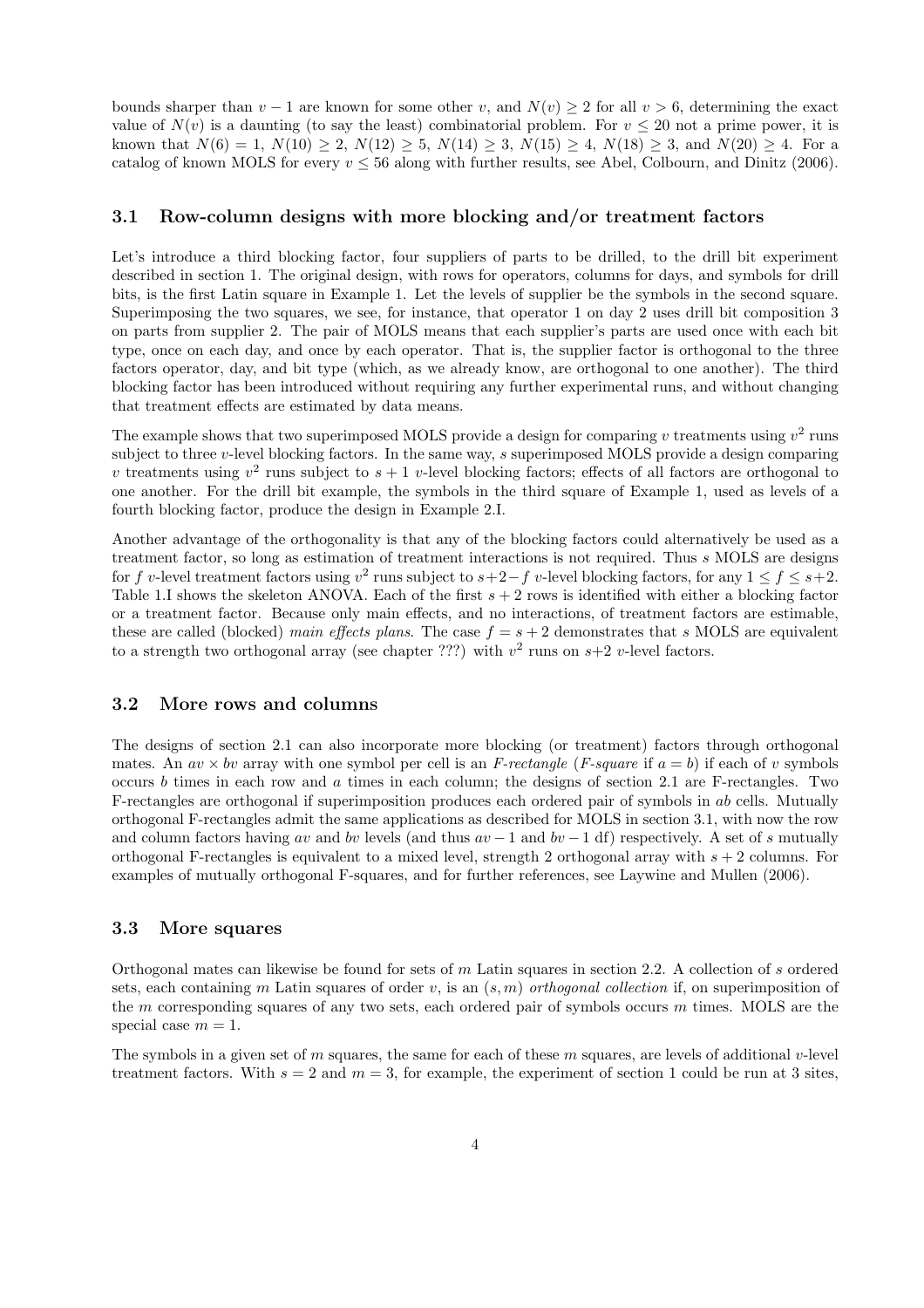bounds sharper than  $v - 1$  are known for some other v, and  $N(v) \ge 2$  for all  $v > 6$ , determining the exact value of  $N(v)$  is a daunting (to say the least) combinatorial problem. For  $v \le 20$  not a prime power, it is known that  $N(6) = 1$ ,  $N(10) \ge 2$ ,  $N(12) \ge 5$ ,  $N(14) \ge 3$ ,  $N(15) \ge 4$ ,  $N(18) \ge 3$ , and  $N(20) \ge 4$ . For a catalog of known MOLS for every  $v \le 56$  along with further results, see Abel, Colbourn, and Dinitz (2006).

#### 3.1 Row-column designs with more blocking and/or treatment factors

Let's introduce a third blocking factor, four suppliers of parts to be drilled, to the drill bit experiment described in section 1. The original design, with rows for operators, columns for days, and symbols for drill bits, is the first Latin square in Example 1. Let the levels of supplier be the symbols in the second square. Superimposing the two squares, we see, for instance, that operator 1 on day 2 uses drill bit composition 3 on parts from supplier 2. The pair of MOLS means that each supplier's parts are used once with each bit type, once on each day, and once by each operator. That is, the supplier factor is orthogonal to the three factors operator, day, and bit type (which, as we already know, are orthogonal to one another). The third blocking factor has been introduced without requiring any further experimental runs, and without changing that treatment effects are estimated by data means.

The example shows that two superimposed MOLS provide a design for comparing v treatments using  $v^2$  runs subject to three v-level blocking factors. In the same way, s superimposed MOLS provide a design comparing v treatments using  $v^2$  runs subject to  $s + 1$  v-level blocking factors; effects of all factors are orthogonal to one another. For the drill bit example, the symbols in the third square of Example 1, used as levels of a fourth blocking factor, produce the design in Example 2.I.

Another advantage of the orthogonality is that any of the blocking factors could alternatively be used as a treatment factor, so long as estimation of treatment interactions is not required. Thus s MOLS are designs for f v-level treatment factors using  $v^2$  runs subject to  $s+2-f$  v-level blocking factors, for any  $1 \le f \le s+2$ . Table 1.I shows the skeleton ANOVA. Each of the first  $s + 2$  rows is identified with either a blocking factor or a treatment factor. Because only main effects, and no interactions, of treatment factors are estimable, these are called (blocked) main effects plans. The case  $f = s + 2$  demonstrates that s MOLS are equivalent to a strength two orthogonal array (see chapter ???) with  $v^2$  runs on  $s+2$  v-level factors.

#### 3.2 More rows and columns

The designs of section 2.1 can also incorporate more blocking (or treatment) factors through orthogonal mates. An  $av \times bv$  array with one symbol per cell is an F-rectangle (F-square if  $a = b$ ) if each of v symbols occurs b times in each row and a times in each column; the designs of section 2.1 are F-rectangles. Two F-rectangles are orthogonal if superimposition produces each ordered pair of symbols in ab cells. Mutually orthogonal F-rectangles admit the same applications as described for MOLS in section 3.1, with now the row and column factors having av and bv levels (and thus  $av - 1$  and  $bv - 1$  df) respectively. A set of s mutually orthogonal F-rectangles is equivalent to a mixed level, strength 2 orthogonal array with  $s + 2$  columns. For examples of mutually orthogonal F-squares, and for further references, see Laywine and Mullen (2006).

#### 3.3 More squares

Orthogonal mates can likewise be found for sets of m Latin squares in section 2.2. A collection of s ordered sets, each containing m Latin squares of order v, is an  $(s, m)$  orthogonal collection if, on superimposition of the m corresponding squares of any two sets, each ordered pair of symbols occurs m times. MOLS are the special case  $m = 1$ .

The symbols in a given set of m squares, the same for each of these m squares, are levels of additional v-level treatment factors. With  $s = 2$  and  $m = 3$ , for example, the experiment of section 1 could be run at 3 sites,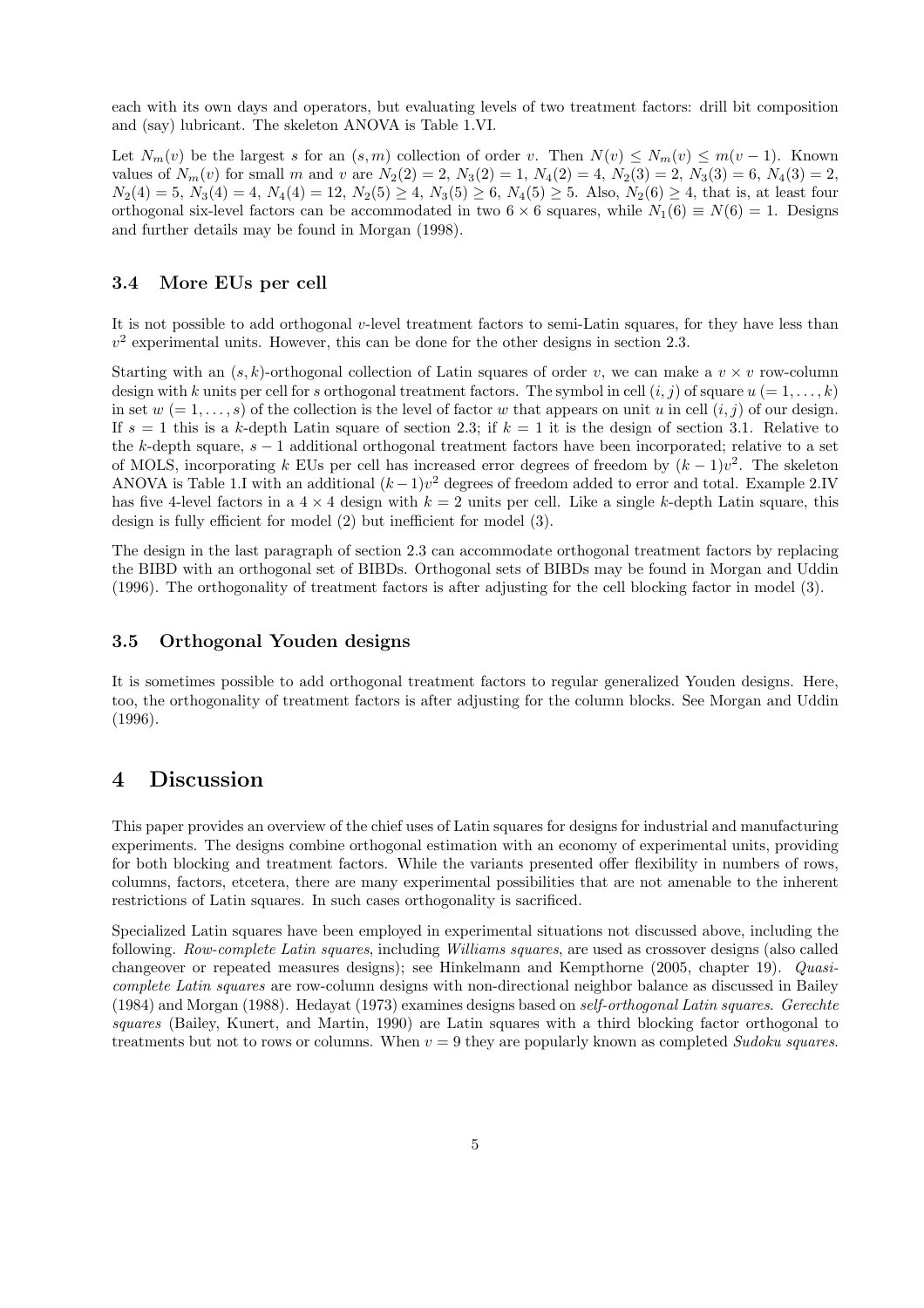each with its own days and operators, but evaluating levels of two treatment factors: drill bit composition and (say) lubricant. The skeleton ANOVA is Table 1.VI.

Let  $N_m(v)$  be the largest s for an  $(s, m)$  collection of order v. Then  $N(v) \leq N_m(v) \leq m(v-1)$ . Known values of  $N_m(v)$  for small m and v are  $N_2(2) = 2$ ,  $N_3(2) = 1$ ,  $N_4(2) = 4$ ,  $N_2(3) = 2$ ,  $N_3(3) = 6$ ,  $N_4(3) = 2$ ,  $N_2(4) = 5$ ,  $N_3(4) = 4$ ,  $N_4(4) = 12$ ,  $N_2(5) \ge 4$ ,  $N_3(5) \ge 6$ ,  $N_4(5) \ge 5$ . Also,  $N_2(6) \ge 4$ , that is, at least four orthogonal six-level factors can be accommodated in two  $6 \times 6$  squares, while  $N_1(6) \equiv N(6) = 1$ . Designs and further details may be found in Morgan (1998).

#### 3.4 More EUs per cell

It is not possible to add orthogonal v-level treatment factors to semi-Latin squares, for they have less than  $v<sup>2</sup>$  experimental units. However, this can be done for the other designs in section 2.3.

Starting with an  $(s, k)$ -orthogonal collection of Latin squares of order v, we can make a  $v \times v$  row-column design with k units per cell for s orthogonal treatment factors. The symbol in cell  $(i, j)$  of square  $u (= 1, \ldots, k)$ in set  $w = 1, \ldots, s$  of the collection is the level of factor w that appears on unit u in cell  $(i, j)$  of our design. If  $s = 1$  this is a k-depth Latin square of section 2.3; if  $k = 1$  it is the design of section 3.1. Relative to the k-depth square, s − 1 additional orthogonal treatment factors have been incorporated; relative to a set of MOLS, incorporating k EUs per cell has increased error degrees of freedom by  $(k-1)v^2$ . The skeleton ANOVA is Table 1.I with an additional  $(k-1)v^2$  degrees of freedom added to error and total. Example 2.IV has five 4-level factors in a  $4 \times 4$  design with  $k = 2$  units per cell. Like a single k-depth Latin square, this design is fully efficient for model (2) but inefficient for model (3).

The design in the last paragraph of section 2.3 can accommodate orthogonal treatment factors by replacing the BIBD with an orthogonal set of BIBDs. Orthogonal sets of BIBDs may be found in Morgan and Uddin (1996). The orthogonality of treatment factors is after adjusting for the cell blocking factor in model (3).

#### 3.5 Orthogonal Youden designs

It is sometimes possible to add orthogonal treatment factors to regular generalized Youden designs. Here, too, the orthogonality of treatment factors is after adjusting for the column blocks. See Morgan and Uddin (1996).

## 4 Discussion

This paper provides an overview of the chief uses of Latin squares for designs for industrial and manufacturing experiments. The designs combine orthogonal estimation with an economy of experimental units, providing for both blocking and treatment factors. While the variants presented offer flexibility in numbers of rows, columns, factors, etcetera, there are many experimental possibilities that are not amenable to the inherent restrictions of Latin squares. In such cases orthogonality is sacrificed.

Specialized Latin squares have been employed in experimental situations not discussed above, including the following. Row-complete Latin squares, including Williams squares, are used as crossover designs (also called changeover or repeated measures designs); see Hinkelmann and Kempthorne (2005, chapter 19). Quasicomplete Latin squares are row-column designs with non-directional neighbor balance as discussed in Bailey (1984) and Morgan (1988). Hedayat (1973) examines designs based on self-orthogonal Latin squares. Gerechte squares (Bailey, Kunert, and Martin, 1990) are Latin squares with a third blocking factor orthogonal to treatments but not to rows or columns. When  $v = 9$  they are popularly known as completed Sudoku squares.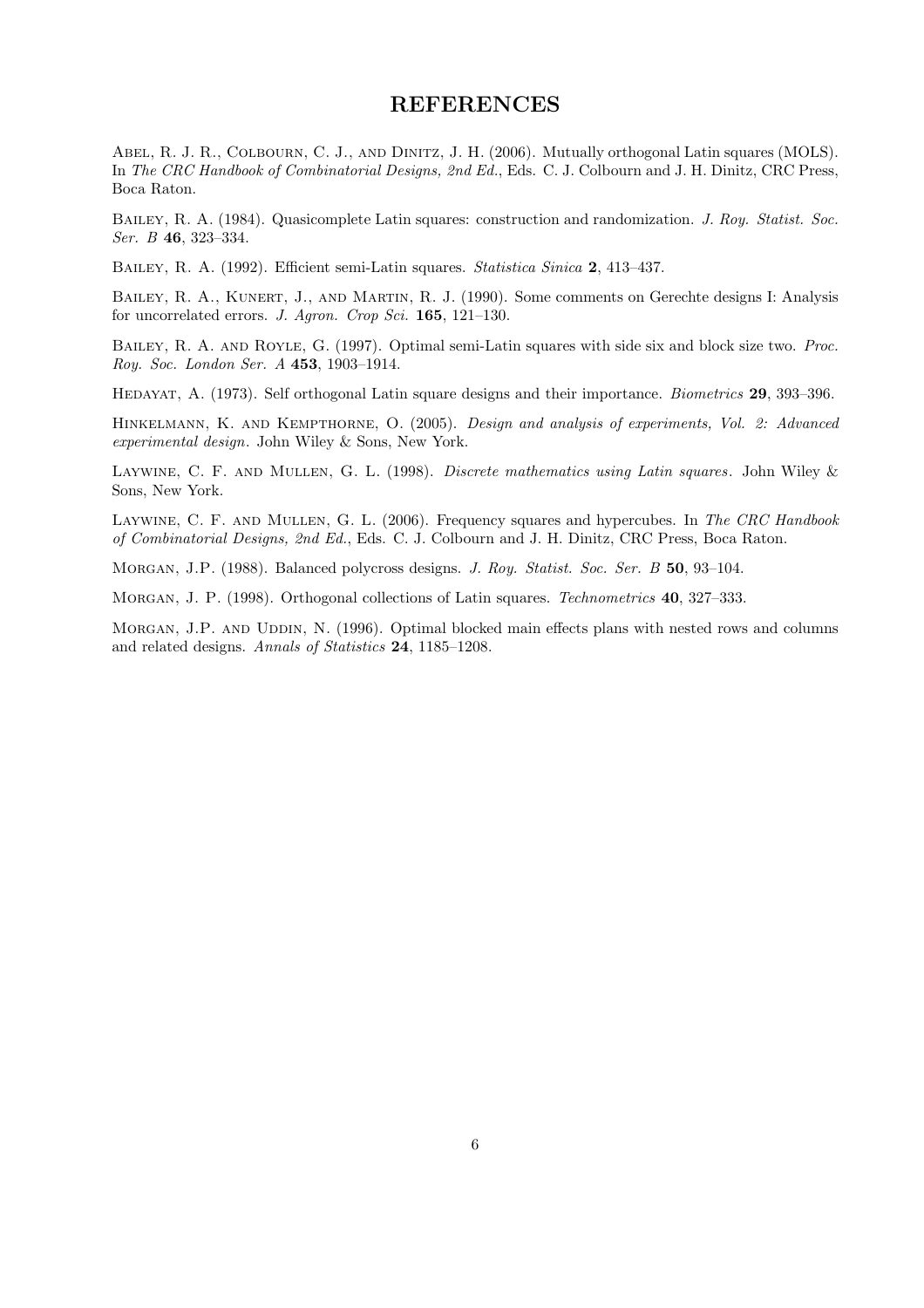### **REFERENCES**

ABEL, R. J. R., COLBOURN, C. J., AND DINITZ, J. H. (2006). Mutually orthogonal Latin squares (MOLS). In The CRC Handbook of Combinatorial Designs, 2nd Ed., Eds. C. J. Colbourn and J. H. Dinitz, CRC Press, Boca Raton.

Bailey, R. A. (1984). Quasicomplete Latin squares: construction and randomization. J. Roy. Statist. Soc. Ser. B 46, 323–334.

Bailey, R. A. (1992). Efficient semi-Latin squares. Statistica Sinica 2, 413–437.

BAILEY, R. A., KUNERT, J., AND MARTIN, R. J. (1990). Some comments on Gerechte designs I: Analysis for uncorrelated errors. J. Agron. Crop Sci. 165, 121–130.

BAILEY, R. A. AND ROYLE, G. (1997). Optimal semi-Latin squares with side six and block size two. Proc. Roy. Soc. London Ser. A 453, 1903–1914.

Hedayat, A. (1973). Self orthogonal Latin square designs and their importance. Biometrics 29, 393–396.

Hinkelmann, K. and Kempthorne, O. (2005). Design and analysis of experiments, Vol. 2: Advanced experimental design. John Wiley & Sons, New York.

LAYWINE, C. F. AND MULLEN, G. L. (1998). Discrete mathematics using Latin squares. John Wiley & Sons, New York.

LAYWINE, C. F. AND MULLEN, G. L. (2006). Frequency squares and hypercubes. In The CRC Handbook of Combinatorial Designs, 2nd Ed., Eds. C. J. Colbourn and J. H. Dinitz, CRC Press, Boca Raton.

Morgan, J.P. (1988). Balanced polycross designs. J. Roy. Statist. Soc. Ser. B 50, 93–104.

MORGAN, J. P. (1998). Orthogonal collections of Latin squares. Technometrics **40**, 327–333.

MORGAN, J.P. AND UDDIN, N. (1996). Optimal blocked main effects plans with nested rows and columns and related designs. Annals of Statistics 24, 1185–1208.